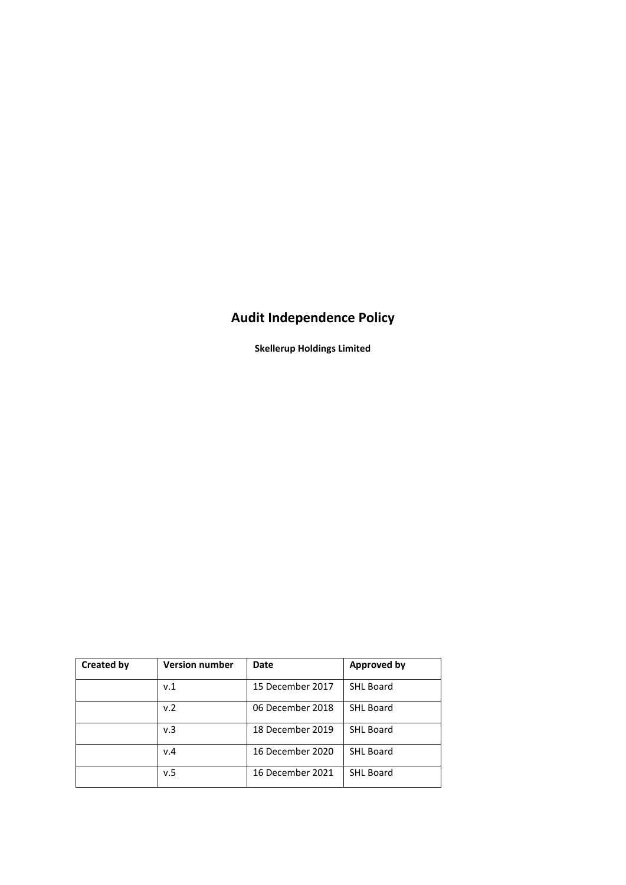# **Audit Independence Policy**

**Skellerup Holdings Limited**

| <b>Created by</b> | <b>Version number</b> | <b>Date</b>      | <b>Approved by</b> |
|-------------------|-----------------------|------------------|--------------------|
|                   | v.1                   | 15 December 2017 | <b>SHL Board</b>   |
|                   | v.2                   | 06 December 2018 | <b>SHL Board</b>   |
|                   | v.3                   | 18 December 2019 | <b>SHL Board</b>   |
|                   | v.4                   | 16 December 2020 | <b>SHL Board</b>   |
|                   | v.5                   | 16 December 2021 | <b>SHL Board</b>   |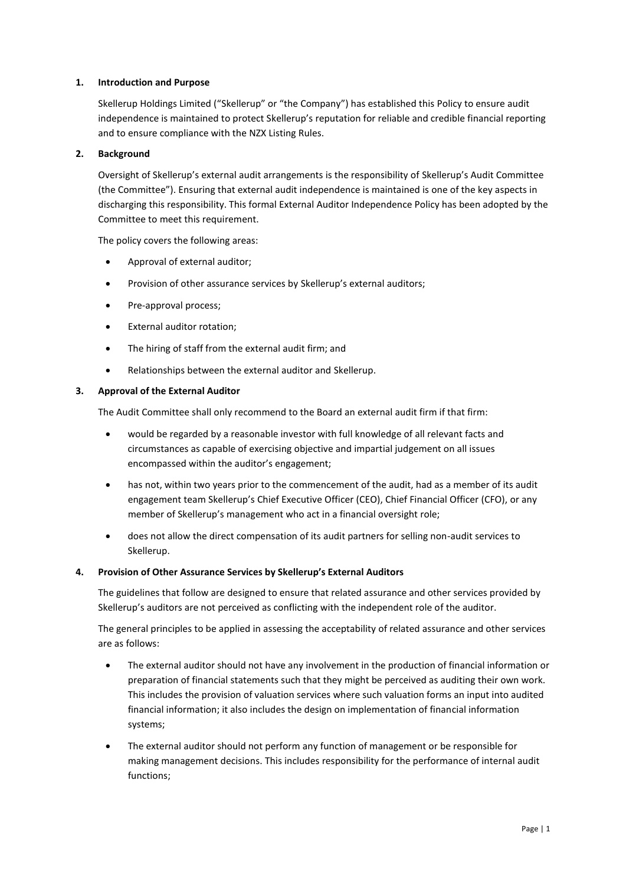# **1. Introduction and Purpose**

Skellerup Holdings Limited ("Skellerup" or "the Company") has established this Policy to ensure audit independence is maintained to protect Skellerup's reputation for reliable and credible financial reporting and to ensure compliance with the NZX Listing Rules.

# **2. Background**

Oversight of Skellerup's external audit arrangements is the responsibility of Skellerup's Audit Committee (the Committee"). Ensuring that external audit independence is maintained is one of the key aspects in discharging this responsibility. This formal External Auditor Independence Policy has been adopted by the Committee to meet this requirement.

The policy covers the following areas:

- Approval of external auditor;
- Provision of other assurance services by Skellerup's external auditors;
- Pre-approval process;
- External auditor rotation;
- The hiring of staff from the external audit firm; and
- Relationships between the external auditor and Skellerup.

## **3. Approval of the External Auditor**

The Audit Committee shall only recommend to the Board an external audit firm if that firm:

- would be regarded by a reasonable investor with full knowledge of all relevant facts and circumstances as capable of exercising objective and impartial judgement on all issues encompassed within the auditor's engagement;
- has not, within two years prior to the commencement of the audit, had as a member of its audit engagement team Skellerup's Chief Executive Officer (CEO), Chief Financial Officer (CFO), or any member of Skellerup's management who act in a financial oversight role;
- does not allow the direct compensation of its audit partners for selling non-audit services to Skellerup.

## **4. Provision of Other Assurance Services by Skellerup's External Auditors**

The guidelines that follow are designed to ensure that related assurance and other services provided by Skellerup's auditors are not perceived as conflicting with the independent role of the auditor.

The general principles to be applied in assessing the acceptability of related assurance and other services are as follows:

- The external auditor should not have any involvement in the production of financial information or preparation of financial statements such that they might be perceived as auditing their own work. This includes the provision of valuation services where such valuation forms an input into audited financial information; it also includes the design on implementation of financial information systems;
- The external auditor should not perform any function of management or be responsible for making management decisions. This includes responsibility for the performance of internal audit functions;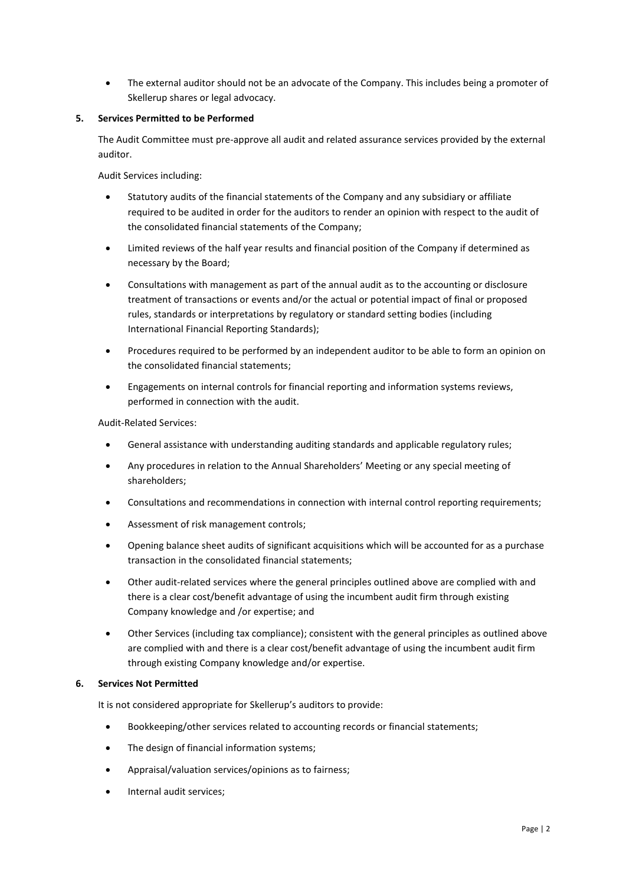• The external auditor should not be an advocate of the Company. This includes being a promoter of Skellerup shares or legal advocacy.

# **5. Services Permitted to be Performed**

The Audit Committee must pre-approve all audit and related assurance services provided by the external auditor.

Audit Services including:

- Statutory audits of the financial statements of the Company and any subsidiary or affiliate required to be audited in order for the auditors to render an opinion with respect to the audit of the consolidated financial statements of the Company;
- Limited reviews of the half year results and financial position of the Company if determined as necessary by the Board;
- Consultations with management as part of the annual audit as to the accounting or disclosure treatment of transactions or events and/or the actual or potential impact of final or proposed rules, standards or interpretations by regulatory or standard setting bodies (including International Financial Reporting Standards);
- Procedures required to be performed by an independent auditor to be able to form an opinion on the consolidated financial statements;
- Engagements on internal controls for financial reporting and information systems reviews, performed in connection with the audit.

## Audit-Related Services:

- General assistance with understanding auditing standards and applicable regulatory rules;
- Any procedures in relation to the Annual Shareholders' Meeting or any special meeting of shareholders;
- Consultations and recommendations in connection with internal control reporting requirements;
- Assessment of risk management controls;
- Opening balance sheet audits of significant acquisitions which will be accounted for as a purchase transaction in the consolidated financial statements;
- Other audit-related services where the general principles outlined above are complied with and there is a clear cost/benefit advantage of using the incumbent audit firm through existing Company knowledge and /or expertise; and
- Other Services (including tax compliance); consistent with the general principles as outlined above are complied with and there is a clear cost/benefit advantage of using the incumbent audit firm through existing Company knowledge and/or expertise.

## **6. Services Not Permitted**

It is not considered appropriate for Skellerup's auditors to provide:

- Bookkeeping/other services related to accounting records or financial statements;
- The design of financial information systems;
- Appraisal/valuation services/opinions as to fairness;
- Internal audit services;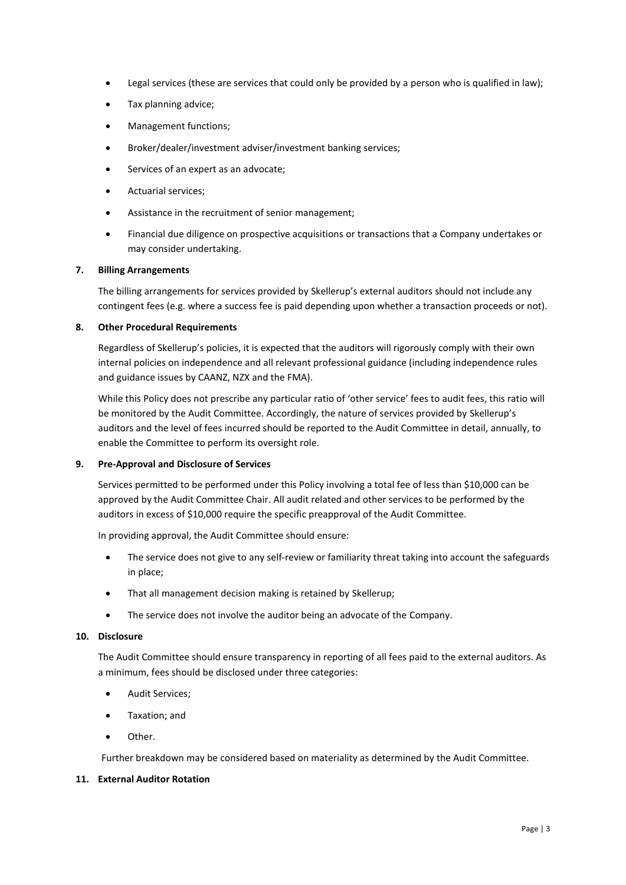- Legal services (these are services that could only be provided by a person who is qualified in law);
- Tax planning advice;
- Management functions;
- Broker/dealer/investment adviser/investment banking services;
- Services of an expert as an advocate;
- Actuarial services;
- Assistance in the recruitment of senior management;
- Financial due diligence on prospective acquisitions or transactions that a Company undertakes or may consider undertaking.

#### **7. Billing Arrangements**

The billing arrangements for services provided by Skellerup's external auditors should not include any contingent fees (e.g. where a success fee is paid depending upon whether a transaction proceeds or not).

#### **8. Other Procedural Requirements**

Regardless of Skellerup's policies, it is expected that the auditors will rigorously comply with their own internal policies on independence and all relevant professional guidance (including independence rules and guidance issues by CAANZ, NZX and the FMA).

While this Policy does not prescribe any particular ratio of 'other service' fees to audit fees, this ratio will be monitored by the Audit Committee. Accordingly, the nature of services provided by Skellerup's auditors and the level of fees incurred should be reported to the Audit Committee in detail, annually, to enable the Committee to perform its oversight role.

#### **9. Pre-Approval and Disclosure of Services**

Services permitted to be performed under this Policy involving a total fee of less than \$10,000 can be approved by the Audit Committee Chair. All audit related and other services to be performed by the auditors in excess of \$10,000 require the specific preapproval of the Audit Committee.

In providing approval, the Audit Committee should ensure:

- The service does not give to any self-review or familiarity threat taking into account the safeguards in place;
- That all management decision making is retained by Skellerup;
- The service does not involve the auditor being an advocate of the Company.

#### **10. Disclosure**

The Audit Committee should ensure transparency in reporting of all fees paid to the external auditors. As a minimum, fees should be disclosed under three categories:

- Audit Services;
- Taxation; and
- Other.

Further breakdown may be considered based on materiality as determined by the Audit Committee.

## **11. External Auditor Rotation**